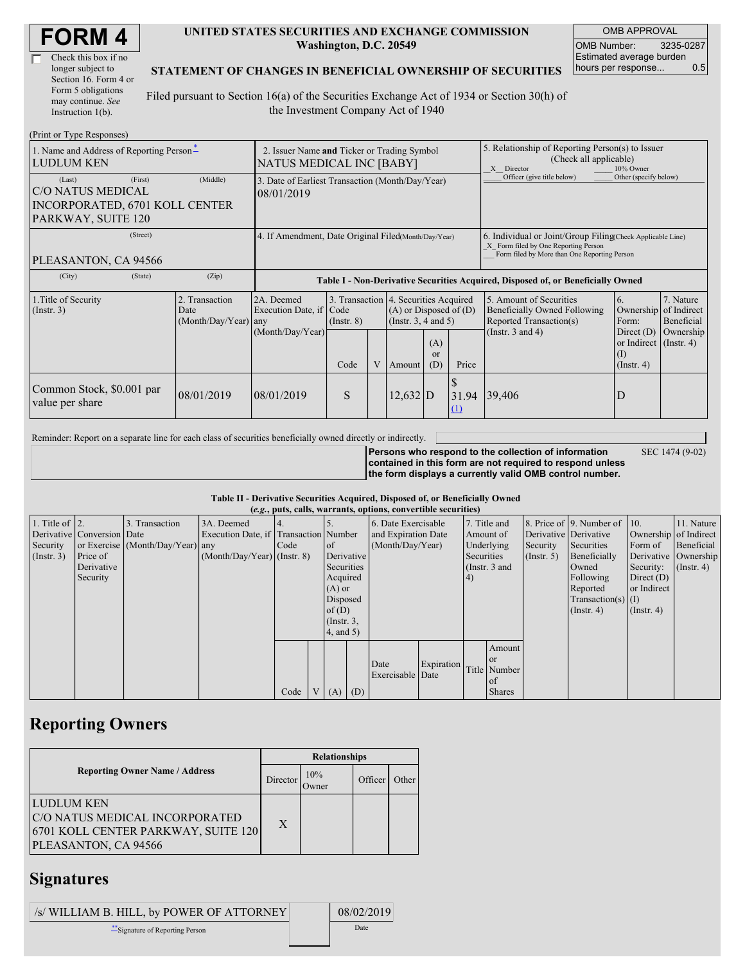| Check this box if no  |
|-----------------------|
| longer subject to     |
| Section 16. Form 4 or |
| Form 5 obligations    |
| may continue. See     |
| Instruction 1(b).     |

#### **UNITED STATES SECURITIES AND EXCHANGE COMMISSION Washington, D.C. 20549**

OMB APPROVAL OMB Number: 3235-0287 Estimated average burden hours per response... 0.5

### **STATEMENT OF CHANGES IN BENEFICIAL OWNERSHIP OF SECURITIES**

Filed pursuant to Section 16(a) of the Securities Exchange Act of 1934 or Section 30(h) of the Investment Company Act of 1940

| (Print or Type Responses)                                                                             |                                                                         |                                                                                  |                 |   |            |                                                                                                                                                    |                                                                                                       |                                                                                                          |                                                                   |                                                         |  |
|-------------------------------------------------------------------------------------------------------|-------------------------------------------------------------------------|----------------------------------------------------------------------------------|-----------------|---|------------|----------------------------------------------------------------------------------------------------------------------------------------------------|-------------------------------------------------------------------------------------------------------|----------------------------------------------------------------------------------------------------------|-------------------------------------------------------------------|---------------------------------------------------------|--|
| 1. Name and Address of Reporting Person-<br><b>LUDLUM KEN</b>                                         | 2. Issuer Name and Ticker or Trading Symbol<br>NATUS MEDICAL INC [BABY] |                                                                                  |                 |   |            |                                                                                                                                                    | 5. Relationship of Reporting Person(s) to Issuer<br>(Check all applicable)<br>10% Owner<br>X Director |                                                                                                          |                                                                   |                                                         |  |
| (First)<br>(Last)<br><b>C/O NATUS MEDICAL</b><br>INCORPORATED, 6701 KOLL CENTER<br>PARKWAY, SUITE 120 | 3. Date of Earliest Transaction (Month/Day/Year)<br>08/01/2019          |                                                                                  |                 |   |            |                                                                                                                                                    | Officer (give title below)                                                                            | Other (specify below)                                                                                    |                                                                   |                                                         |  |
| (Street)<br>PLEASANTON, CA 94566                                                                      | 4. If Amendment, Date Original Filed(Month/Day/Year)                    |                                                                                  |                 |   |            | 6. Individual or Joint/Group Filing Check Applicable Line)<br>X Form filed by One Reporting Person<br>Form filed by More than One Reporting Person |                                                                                                       |                                                                                                          |                                                                   |                                                         |  |
| (City)<br>(State)                                                                                     | (Zip)                                                                   | Table I - Non-Derivative Securities Acquired, Disposed of, or Beneficially Owned |                 |   |            |                                                                                                                                                    |                                                                                                       |                                                                                                          |                                                                   |                                                         |  |
| 1. Title of Security<br>(Insert. 3)                                                                   | 2. Transaction<br>Date<br>(Month/Day/Year) any                          | 2A. Deemed<br>Execution Date, if Code                                            | $($ Instr. $8)$ |   |            | 3. Transaction 4. Securities Acquired<br>$(A)$ or Disposed of $(D)$<br>(Instr. $3, 4$ and $5$ )                                                    |                                                                                                       | 5. Amount of Securities<br>6.<br><b>Beneficially Owned Following</b><br>Reported Transaction(s)<br>Form: |                                                                   | 7. Nature<br>Ownership of Indirect<br><b>Beneficial</b> |  |
|                                                                                                       |                                                                         | (Month/Day/Year)                                                                 | Code            | V | Amount     | (A)<br><sub>or</sub><br>(D)                                                                                                                        | Price                                                                                                 | (Instr. $3$ and $4$ )                                                                                    | Direct $(D)$<br>or Indirect (Instr. 4)<br>(1)<br>$($ Instr. 4 $)$ | Ownership                                               |  |
| Common Stock, \$0.001 par<br>value per share                                                          | 08/01/2019                                                              | 08/01/2019                                                                       | S               |   | $12,632$ D |                                                                                                                                                    | 31.94<br>$\Omega$                                                                                     | 39,406                                                                                                   | D                                                                 |                                                         |  |

Reminder: Report on a separate line for each class of securities beneficially owned directly or indirectly.

**Persons who respond to the collection of information**

SEC 1474 (9-02)

**contained in this form are not required to respond unless the form displays a currently valid OMB control number.**

**Table II - Derivative Securities Acquired, Disposed of, or Beneficially Owned**

| (e.g., puts, calls, warrants, options, convertible securities) |                            |                                  |                                       |      |          |               |                  |                     |            |               |               |                       |                          |                       |                      |
|----------------------------------------------------------------|----------------------------|----------------------------------|---------------------------------------|------|----------|---------------|------------------|---------------------|------------|---------------|---------------|-----------------------|--------------------------|-----------------------|----------------------|
| 1. Title of $\vert$ 2.                                         |                            | 3. Transaction                   | 3A. Deemed                            |      |          |               |                  | 6. Date Exercisable |            |               | 7. Title and  |                       | 8. Price of 9. Number of | 110.                  | 11. Nature           |
|                                                                | Derivative Conversion Date |                                  | Execution Date, if Transaction Number |      |          |               |                  | and Expiration Date |            | Amount of     |               | Derivative Derivative |                          | Ownership of Indirect |                      |
| Security                                                       |                            | or Exercise (Month/Day/Year) any |                                       | Code |          | <sub>of</sub> | (Month/Day/Year) |                     | Underlying |               | Security      | Securities            | Form of                  | Beneficial            |                      |
| $($ Instr. 3 $)$                                               | Price of                   |                                  | $(Month/Day/Year)$ (Instr. 8)         |      |          |               | Derivative       |                     |            | Securities    |               | $($ Instr. 5 $)$      | Beneficially             |                       | Derivative Ownership |
|                                                                | Derivative                 |                                  |                                       |      |          | Securities    |                  |                     |            | (Instr. 3 and |               |                       | Owned                    | Security:             | $($ Instr. 4 $)$     |
|                                                                | Security                   |                                  |                                       |      |          | Acquired      |                  |                     |            | 4)            |               |                       | Following                | Direct $(D)$          |                      |
|                                                                |                            |                                  |                                       |      |          | $(A)$ or      |                  |                     |            |               |               |                       | Reported                 | or Indirect           |                      |
|                                                                |                            |                                  |                                       |      | Disposed |               |                  |                     |            |               |               |                       | Transaction(s) $(I)$     |                       |                      |
|                                                                |                            |                                  |                                       |      |          |               | of $(D)$         |                     |            |               |               |                       | $($ Instr. 4 $)$         | $($ Instr. 4 $)$      |                      |
|                                                                |                            |                                  |                                       |      |          |               | $($ Instr. $3,$  |                     |            |               |               |                       |                          |                       |                      |
|                                                                |                            |                                  |                                       |      |          | $4$ , and 5)  |                  |                     |            |               |               |                       |                          |                       |                      |
|                                                                |                            |                                  |                                       |      |          |               |                  |                     |            |               | Amount        |                       |                          |                       |                      |
|                                                                |                            |                                  |                                       |      |          |               |                  | Date                | Expiration |               | <sub>or</sub> |                       |                          |                       |                      |
|                                                                |                            |                                  |                                       |      |          |               |                  | Exercisable Date    |            |               | Title Number  |                       |                          |                       |                      |
|                                                                |                            |                                  |                                       |      |          |               |                  |                     |            |               | of            |                       |                          |                       |                      |
|                                                                |                            |                                  |                                       | Code |          | V   (A)   (D) |                  |                     |            |               | <b>Shares</b> |                       |                          |                       |                      |

### **Reporting Owners**

|                                                                                                             | <b>Relationships</b> |              |         |       |  |  |  |
|-------------------------------------------------------------------------------------------------------------|----------------------|--------------|---------|-------|--|--|--|
| <b>Reporting Owner Name / Address</b>                                                                       | Director             | 10%<br>Owner | Officer | Other |  |  |  |
| LUDLUM KEN<br>C/O NATUS MEDICAL INCORPORATED<br>6701 KOLL CENTER PARKWAY, SUITE 120<br>PLEASANTON, CA 94566 | X                    |              |         |       |  |  |  |

## **Signatures**

| /s/ WILLIAM B. HILL, by POWER OF ATTORNEY | 08/02/2019 |
|-------------------------------------------|------------|
| Signature of Reporting Person             | Date       |